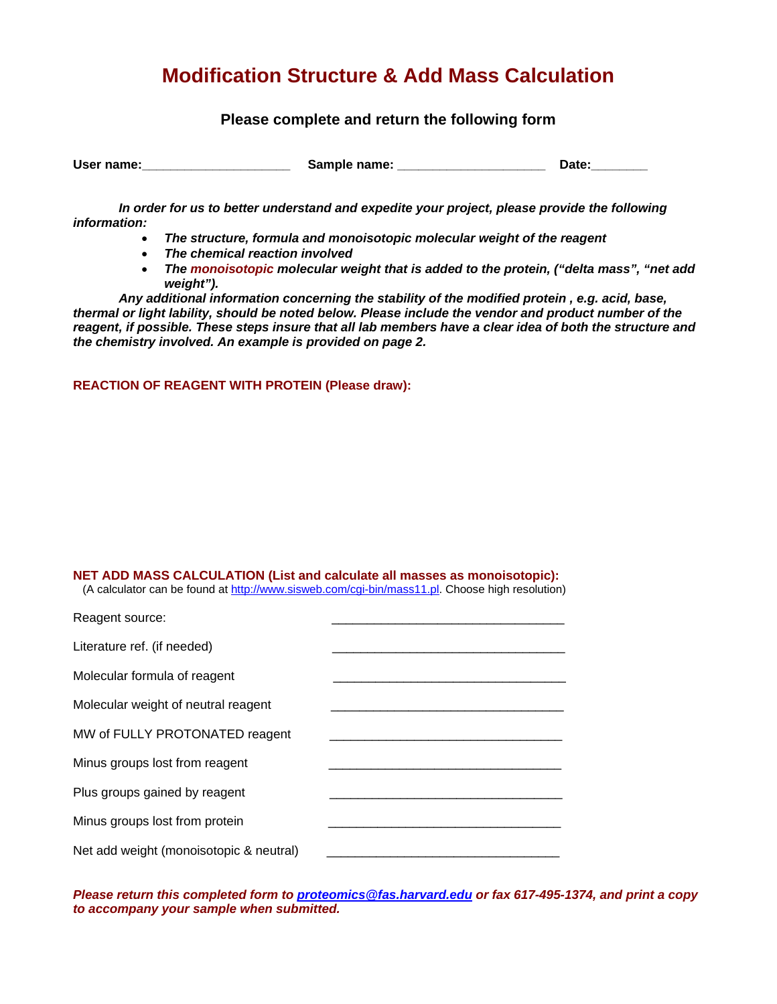# **Modification Structure & Add Mass Calculation**

## **Please complete and return the following form**

| User name: | Sample name: | Date: |
|------------|--------------|-------|
|------------|--------------|-------|

*In order for us to better understand and expedite your project, please provide the following information:* 

- *The structure, formula and monoisotopic molecular weight of the reagent*
- *The chemical reaction involved*
- *The monoisotopic molecular weight that is added to the protein, ("delta mass", "net add weight").*

*Any additional information concerning the stability of the modified protein , e.g. acid, base, thermal or light lability, should be noted below. Please include the vendor and product number of the reagent, if possible. These steps insure that all lab members have a clear idea of both the structure and the chemistry involved. An example is provided on page 2.* 

#### **REACTION OF REAGENT WITH PROTEIN (Please draw):**

## **NET ADD MASS CALCULATION (List and calculate all masses as monoisotopic):**

(A calculator can be found at http://www.sisweb.com/cgi-bin/mass11.pl. Choose high resolution)

| Reagent source:                         |  |
|-----------------------------------------|--|
| Literature ref. (if needed)             |  |
| Molecular formula of reagent            |  |
| Molecular weight of neutral reagent     |  |
| MW of FULLY PROTONATED reagent          |  |
| Minus groups lost from reagent          |  |
| Plus groups gained by reagent           |  |
| Minus groups lost from protein          |  |
| Net add weight (monoisotopic & neutral) |  |

*Please return this completed form to proteomics@fas.harvard.edu or fax 617-495-1374, and print a copy to accompany your sample when submitted.*